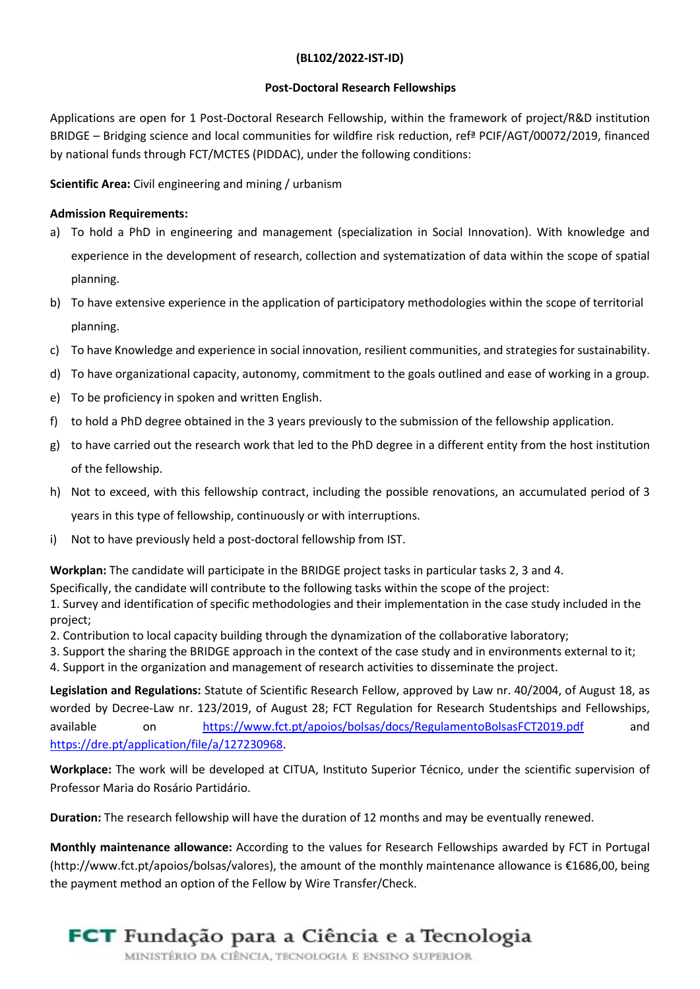## (BL102/2022-IST-ID)

## Post-Doctoral Research Fellowships

Applications are open for 1 Post-Doctoral Research Fellowship, within the framework of project/R&D institution BRIDGE – Bridging science and local communities for wildfire risk reduction, refª PCIF/AGT/00072/2019, financed by national funds through FCT/MCTES (PIDDAC), under the following conditions:

Scientific Area: Civil engineering and mining / urbanism

## **Admission Requirements:**

- a) To hold a PhD in engineering and management (specialization in Social Innovation). With knowledge and experience in the development of research, collection and systematization of data within the scope of spatial planning.
- b) To have extensive experience in the application of participatory methodologies within the scope of territorial planning.
- c) To have Knowledge and experience in social innovation, resilient communities, and strategies for sustainability.
- d) To have organizational capacity, autonomy, commitment to the goals outlined and ease of working in a group.
- e) To be proficiency in spoken and written English.
- f) to hold a PhD degree obtained in the 3 years previously to the submission of the fellowship application.
- g) to have carried out the research work that led to the PhD degree in a different entity from the host institution of the fellowship.
- h) Not to exceed, with this fellowship contract, including the possible renovations, an accumulated period of 3 years in this type of fellowship, continuously or with interruptions.
- i) Not to have previously held a post-doctoral fellowship from IST.

Workplan: The candidate will participate in the BRIDGE project tasks in particular tasks 2, 3 and 4.

Specifically, the candidate will contribute to the following tasks within the scope of the project:

1. Survey and identification of specific methodologies and their implementation in the case study included in the project;

- 2. Contribution to local capacity building through the dynamization of the collaborative laboratory;
- 3. Support the sharing the BRIDGE approach in the context of the case study and in environments external to it;

4. Support in the organization and management of research activities to disseminate the project.

Legislation and Regulations: Statute of Scientific Research Fellow, approved by Law nr. 40/2004, of August 18, as worded by Decree-Law nr. 123/2019, of August 28; FCT Regulation for Research Studentships and Fellowships, available on https://www.fct.pt/apoios/bolsas/docs/RegulamentoBolsasFCT2019.pdf and https://dre.pt/application/file/a/127230968.

Workplace: The work will be developed at CITUA, Instituto Superior Técnico, under the scientific supervision of Professor Maria do Rosário Partidário.

Duration: The research fellowship will have the duration of 12 months and may be eventually renewed.

Monthly maintenance allowance: According to the values for Research Fellowships awarded by FCT in Portugal (http://www.fct.pt/apoios/bolsas/valores), the amount of the monthly maintenance allowance is €1686,00, being the payment method an option of the Fellow by Wire Transfer/Check.



## **FCT** Fundação para a Ciência e a Tecnologia

MINISTÉRIO DA CIÊNCIA, TECNOLOGIA E ENSINO SUPERIOR